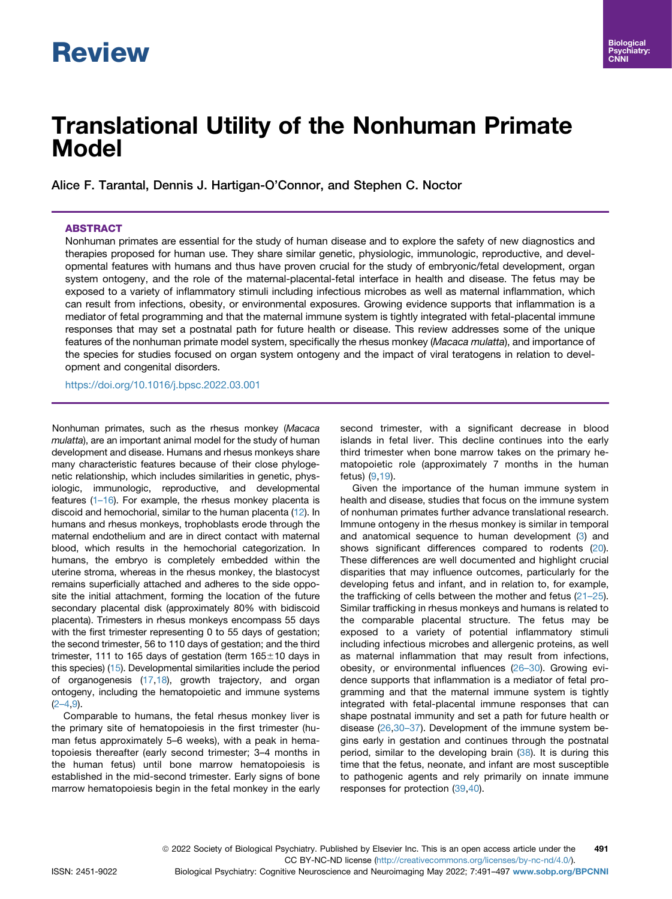# **Review**

# Translational Utility of the Nonhuman Primate Model

Alice F. Tarantal, Dennis J. Hartigan-O'Connor, and Stephen C. Noctor

# ABSTRACT

Nonhuman primates are essential for the study of human disease and to explore the safety of new diagnostics and therapies proposed for human use. They share similar genetic, physiologic, immunologic, reproductive, and developmental features with humans and thus have proven crucial for the study of embryonic/fetal development, organ system ontogeny, and the role of the maternal-placental-fetal interface in health and disease. The fetus may be exposed to a variety of inflammatory stimuli including infectious microbes as well as maternal inflammation, which can result from infections, obesity, or environmental exposures. Growing evidence supports that inflammation is a mediator of fetal programming and that the maternal immune system is tightly integrated with fetal-placental immune responses that may set a postnatal path for future health or disease. This review addresses some of the unique features of the nonhuman primate model system, specifically the rhesus monkey (Macaca mulatta), and importance of the species for studies focused on organ system ontogeny and the impact of viral teratogens in relation to development and congenital disorders.

<https://doi.org/10.1016/j.bpsc.2022.03.001>

Nonhuman primates, such as the rhesus monkey (Macaca mulatta), are an important animal model for the study of human development and disease. Humans and rhesus monkeys share many characteristic features because of their close phylogenetic relationship, which includes similarities in genetic, physiologic, immunologic, reproductive, and developmental features (1–[16\)](#page-4-0). For example, the rhesus monkey placenta is discoid and hemochorial, similar to the human placenta ([12](#page-4-1)). In humans and rhesus monkeys, trophoblasts erode through the maternal endothelium and are in direct contact with maternal blood, which results in the hemochorial categorization. In humans, the embryo is completely embedded within the uterine stroma, whereas in the rhesus monkey, the blastocyst remains superficially attached and adheres to the side opposite the initial attachment, forming the location of the future secondary placental disk (approximately 80% with bidiscoid placenta). Trimesters in rhesus monkeys encompass 55 days with the first trimester representing 0 to 55 days of gestation; the second trimester, 56 to 110 days of gestation; and the third trimester, 111 to 165 days of gestation (term  $165\pm10$  days in this species) ([15](#page-4-2)). Developmental similarities include the period of organogenesis [\(17,](#page-4-3)[18](#page-4-4)), growth trajectory, and organ ontogeny, including the hematopoietic and immune systems  $(2-4, 9)$  $(2-4, 9)$  $(2-4, 9)$  $(2-4, 9)$ .

Comparable to humans, the fetal rhesus monkey liver is the primary site of hematopoiesis in the first trimester (human fetus approximately 5–6 weeks), with a peak in hematopoiesis thereafter (early second trimester; 3–4 months in the human fetus) until bone marrow hematopoiesis is established in the mid-second trimester. Early signs of bone marrow hematopoiesis begin in the fetal monkey in the early second trimester, with a significant decrease in blood islands in fetal liver. This decline continues into the early third trimester when bone marrow takes on the primary hematopoietic role (approximately 7 months in the human fetus) [\(9](#page-4-6)[,19\)](#page-4-7).

Given the importance of the human immune system in health and disease, studies that focus on the immune system of nonhuman primates further advance translational research. Immune ontogeny in the rhesus monkey is similar in temporal and anatomical sequence to human development ([3\)](#page-4-8) and shows significant differences compared to rodents ([20\)](#page-4-9). These differences are well documented and highlight crucial disparities that may influence outcomes, particularly for the developing fetus and infant, and in relation to, for example, the trafficking of cells between the mother and fetus (21–[25\)](#page-4-10). Similar trafficking in rhesus monkeys and humans is related to the comparable placental structure. The fetus may be exposed to a variety of potential inflammatory stimuli including infectious microbes and allergenic proteins, as well as maternal inflammation that may result from infections, obesity, or environmental influences ([26](#page-4-11)–30). Growing evidence supports that inflammation is a mediator of fetal programming and that the maternal immune system is tightly integrated with fetal-placental immune responses that can shape postnatal immunity and set a path for future health or disease ([26](#page-4-11),[30](#page-4-12)–37). Development of the immune system begins early in gestation and continues through the postnatal period, similar to the developing brain ([38](#page-4-13)). It is during this time that the fetus, neonate, and infant are most susceptible to pathogenic agents and rely primarily on innate immune responses for protection ([39](#page-4-14),[40](#page-4-15)).

ISSN: 2451-9022 Biological Psychiatry: Cognitive Neuroscience and Neuroimaging May 2022; 7:491–497 [www.sobp.org/BPCNNI](http://www.sobp.org/BPCNNI)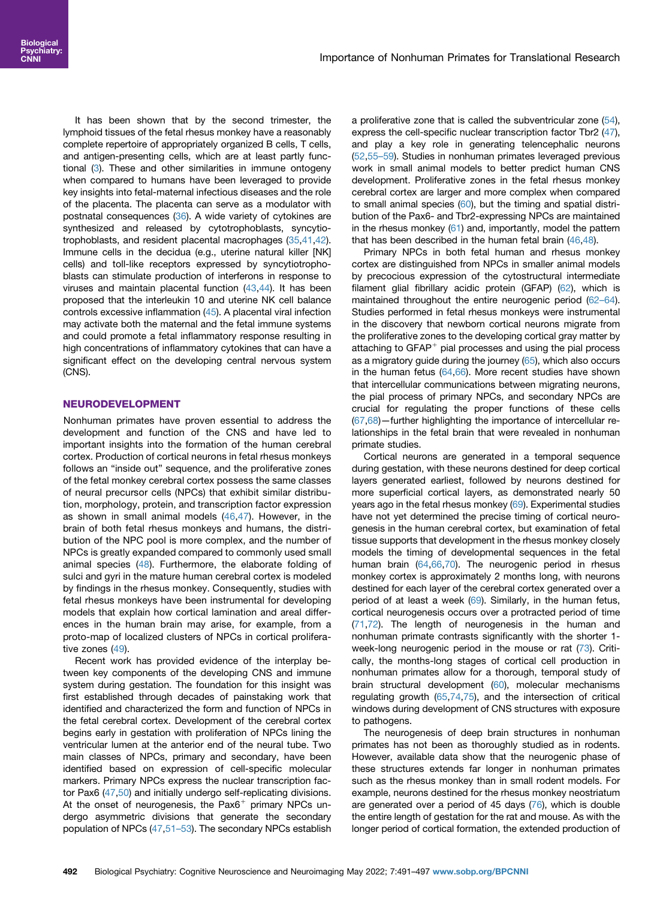It has been shown that by the second trimester, the lymphoid tissues of the fetal rhesus monkey have a reasonably complete repertoire of appropriately organized B cells, T cells, and antigen-presenting cells, which are at least partly functional ([3](#page-4-8)). These and other similarities in immune ontogeny when compared to humans have been leveraged to provide key insights into fetal-maternal infectious diseases and the role of the placenta. The placenta can serve as a modulator with postnatal consequences ([36](#page-4-16)). A wide variety of cytokines are synthesized and released by cytotrophoblasts, syncytiotrophoblasts, and resident placental macrophages [\(35,](#page-4-17)[41](#page-4-18),[42](#page-4-19)). Immune cells in the decidua (e.g., uterine natural killer [NK] cells) and toll-like receptors expressed by syncytiotrophoblasts can stimulate production of interferons in response to viruses and maintain placental function [\(43](#page-4-20),[44\)](#page-4-21). It has been proposed that the interleukin 10 and uterine NK cell balance controls excessive inflammation [\(45](#page-4-22)). A placental viral infection may activate both the maternal and the fetal immune systems and could promote a fetal inflammatory response resulting in high concentrations of inflammatory cytokines that can have a significant effect on the developing central nervous system (CNS).

# NEURODEVELOPMENT

Nonhuman primates have proven essential to address the development and function of the CNS and have led to important insights into the formation of the human cerebral cortex. Production of cortical neurons in fetal rhesus monkeys follows an "inside out" sequence, and the proliferative zones of the fetal monkey cerebral cortex possess the same classes of neural precursor cells (NPCs) that exhibit similar distribution, morphology, protein, and transcription factor expression as shown in small animal models  $(46, 47)$  $(46, 47)$  $(46, 47)$ . However, in the brain of both fetal rhesus monkeys and humans, the distribution of the NPC pool is more complex, and the number of NPCs is greatly expanded compared to commonly used small animal species ([48](#page-5-1)). Furthermore, the elaborate folding of sulci and gyri in the mature human cerebral cortex is modeled by findings in the rhesus monkey. Consequently, studies with fetal rhesus monkeys have been instrumental for developing models that explain how cortical lamination and areal differences in the human brain may arise, for example, from a proto-map of localized clusters of NPCs in cortical proliferative zones ([49](#page-5-2)).

Recent work has provided evidence of the interplay between key components of the developing CNS and immune system during gestation. The foundation for this insight was first established through decades of painstaking work that identified and characterized the form and function of NPCs in the fetal cerebral cortex. Development of the cerebral cortex begins early in gestation with proliferation of NPCs lining the ventricular lumen at the anterior end of the neural tube. Two main classes of NPCs, primary and secondary, have been identified based on expression of cell-specific molecular markers. Primary NPCs express the nuclear transcription factor Pax6 [\(47,](#page-5-0)[50](#page-5-3)) and initially undergo self-replicating divisions. At the onset of neurogenesis, the  $Pax6<sup>+</sup>$  primary NPCs undergo asymmetric divisions that generate the secondary population of NPCs [\(47,](#page-5-0)51–[53\)](#page-5-4). The secondary NPCs establish

a proliferative zone that is called the subventricular zone [\(54\)](#page-5-5), express the cell-specific nuclear transcription factor Tbr2 [\(47\)](#page-5-0), and play a key role in generating telencephalic neurons [\(52,](#page-5-6)[55](#page-5-7)–59). Studies in nonhuman primates leveraged previous work in small animal models to better predict human CNS development. Proliferative zones in the fetal rhesus monkey cerebral cortex are larger and more complex when compared to small animal species ([60](#page-5-8)), but the timing and spatial distribution of the Pax6- and Tbr2-expressing NPCs are maintained in the rhesus monkey  $(61)$  and, importantly, model the pattern that has been described in the human fetal brain ([46](#page-4-23),[48\)](#page-5-1).

Primary NPCs in both fetal human and rhesus monkey cortex are distinguished from NPCs in smaller animal models by precocious expression of the cytostructural intermediate filament glial fibrillary acidic protein (GFAP) ([62](#page-5-10)), which is maintained throughout the entire neurogenic period (62–[64\)](#page-5-10). Studies performed in fetal rhesus monkeys were instrumental in the discovery that newborn cortical neurons migrate from the proliferative zones to the developing cortical gray matter by attaching to  $GFAP<sup>+</sup>$  pial processes and using the pial process as a migratory guide during the journey ([65\)](#page-5-11), which also occurs in the human fetus  $(64, 66)$  $(64, 66)$  $(64, 66)$ . More recent studies have shown that intercellular communications between migrating neurons, the pial process of primary NPCs, and secondary NPCs are crucial for regulating the proper functions of these cells [\(67,](#page-5-14)[68](#page-5-15))—further highlighting the importance of intercellular relationships in the fetal brain that were revealed in nonhuman primate studies.

Cortical neurons are generated in a temporal sequence during gestation, with these neurons destined for deep cortical layers generated earliest, followed by neurons destined for more superficial cortical layers, as demonstrated nearly 50 years ago in the fetal rhesus monkey [\(69\)](#page-5-16). Experimental studies have not yet determined the precise timing of cortical neurogenesis in the human cerebral cortex, but examination of fetal tissue supports that development in the rhesus monkey closely models the timing of developmental sequences in the fetal human brain ([64](#page-5-12),[66](#page-5-13)[,70\)](#page-5-17). The neurogenic period in rhesus monkey cortex is approximately 2 months long, with neurons destined for each layer of the cerebral cortex generated over a period of at least a week ([69](#page-5-16)). Similarly, in the human fetus, cortical neurogenesis occurs over a protracted period of time [\(71,](#page-5-18)[72](#page-5-19)). The length of neurogenesis in the human and nonhuman primate contrasts significantly with the shorter 1 week-long neurogenic period in the mouse or rat [\(73](#page-5-20)). Critically, the months-long stages of cortical cell production in nonhuman primates allow for a thorough, temporal study of brain structural development ([60](#page-5-8)), molecular mechanisms regulating growth [\(65,](#page-5-11)[74](#page-5-21),[75\)](#page-5-22), and the intersection of critical windows during development of CNS structures with exposure to pathogens.

The neurogenesis of deep brain structures in nonhuman primates has not been as thoroughly studied as in rodents. However, available data show that the neurogenic phase of these structures extends far longer in nonhuman primates such as the rhesus monkey than in small rodent models. For example, neurons destined for the rhesus monkey neostriatum are generated over a period of 45 days ([76](#page-5-23)), which is double the entire length of gestation for the rat and mouse. As with the longer period of cortical formation, the extended production of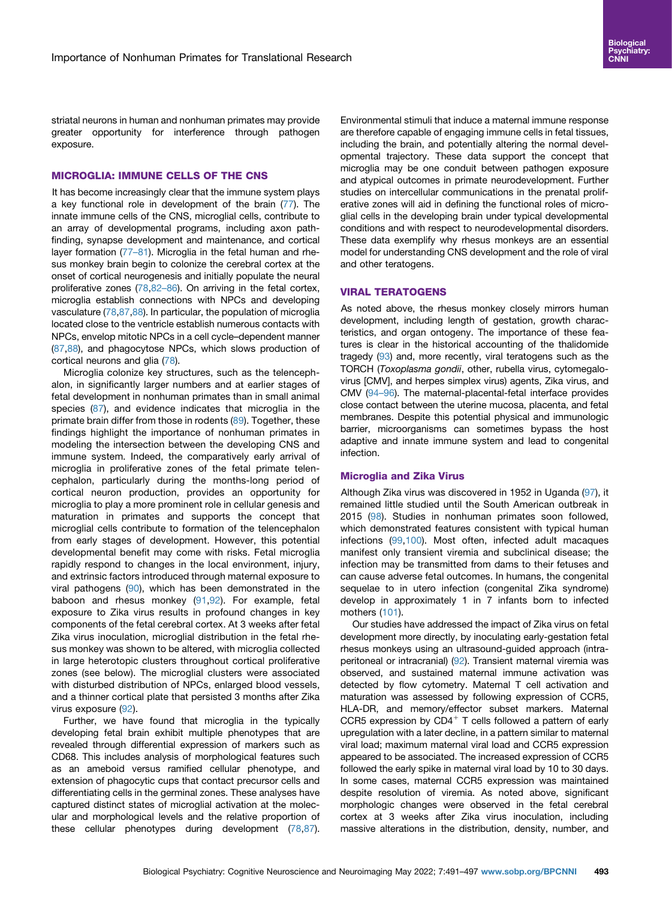striatal neurons in human and nonhuman primates may provide greater opportunity for interference through pathogen exposure.

#### MICROGLIA: IMMUNE CELLS OF THE CNS

It has become increasingly clear that the immune system plays a key functional role in development of the brain [\(77\)](#page-5-24). The innate immune cells of the CNS, microglial cells, contribute to an array of developmental programs, including axon pathfinding, synapse development and maintenance, and cortical layer formation (77-[81](#page-5-24)). Microglia in the fetal human and rhesus monkey brain begin to colonize the cerebral cortex at the onset of cortical neurogenesis and initially populate the neural proliferative zones ([78](#page-5-25),[82](#page-5-26)-86). On arriving in the fetal cortex, microglia establish connections with NPCs and developing vasculature [\(78](#page-5-25),[87](#page-5-27)[,88\)](#page-5-28). In particular, the population of microglia located close to the ventricle establish numerous contacts with NPCs, envelop mitotic NPCs in a cell cycle–dependent manner ([87](#page-5-27),[88\)](#page-5-28), and phagocytose NPCs, which slows production of cortical neurons and glia [\(78](#page-5-25)).

Microglia colonize key structures, such as the telencephalon, in significantly larger numbers and at earlier stages of fetal development in nonhuman primates than in small animal species ([87](#page-5-27)), and evidence indicates that microglia in the primate brain differ from those in rodents ([89](#page-5-29)). Together, these findings highlight the importance of nonhuman primates in modeling the intersection between the developing CNS and immune system. Indeed, the comparatively early arrival of microglia in proliferative zones of the fetal primate telencephalon, particularly during the months-long period of cortical neuron production, provides an opportunity for microglia to play a more prominent role in cellular genesis and maturation in primates and supports the concept that microglial cells contribute to formation of the telencephalon from early stages of development. However, this potential developmental benefit may come with risks. Fetal microglia rapidly respond to changes in the local environment, injury, and extrinsic factors introduced through maternal exposure to viral pathogens ([90](#page-6-0)), which has been demonstrated in the baboon and rhesus monkey ([91](#page-6-1)[,92](#page-6-2)). For example, fetal exposure to Zika virus results in profound changes in key components of the fetal cerebral cortex. At 3 weeks after fetal Zika virus inoculation, microglial distribution in the fetal rhesus monkey was shown to be altered, with microglia collected in large heterotopic clusters throughout cortical proliferative zones (see below). The microglial clusters were associated with disturbed distribution of NPCs, enlarged blood vessels, and a thinner cortical plate that persisted 3 months after Zika virus exposure [\(92\)](#page-6-2).

Further, we have found that microglia in the typically developing fetal brain exhibit multiple phenotypes that are revealed through differential expression of markers such as CD68. This includes analysis of morphological features such as an ameboid versus ramified cellular phenotype, and extension of phagocytic cups that contact precursor cells and differentiating cells in the germinal zones. These analyses have captured distinct states of microglial activation at the molecular and morphological levels and the relative proportion of these cellular phenotypes during development [\(78](#page-5-25),[87](#page-5-27)).

Environmental stimuli that induce a maternal immune response are therefore capable of engaging immune cells in fetal tissues, including the brain, and potentially altering the normal developmental trajectory. These data support the concept that microglia may be one conduit between pathogen exposure and atypical outcomes in primate neurodevelopment. Further studies on intercellular communications in the prenatal proliferative zones will aid in defining the functional roles of microglial cells in the developing brain under typical developmental conditions and with respect to neurodevelopmental disorders. These data exemplify why rhesus monkeys are an essential model for understanding CNS development and the role of viral and other teratogens.

# VIRAL TERATOGENS

As noted above, the rhesus monkey closely mirrors human development, including length of gestation, growth characteristics, and organ ontogeny. The importance of these features is clear in the historical accounting of the thalidomide tragedy [\(93\)](#page-6-3) and, more recently, viral teratogens such as the TORCH (Toxoplasma gondii, other, rubella virus, cytomegalovirus [CMV], and herpes simplex virus) agents, Zika virus, and CMV (94–[96\)](#page-6-4). The maternal-placental-fetal interface provides close contact between the uterine mucosa, placenta, and fetal membranes. Despite this potential physical and immunologic barrier, microorganisms can sometimes bypass the host adaptive and innate immune system and lead to congenital infection.

#### Microglia and Zika Virus

Although Zika virus was discovered in 1952 in Uganda ([97](#page-6-5)), it remained little studied until the South American outbreak in 2015 ([98](#page-6-6)). Studies in nonhuman primates soon followed, which demonstrated features consistent with typical human infections [\(99,](#page-6-7)[100](#page-6-8)). Most often, infected adult macaques manifest only transient viremia and subclinical disease; the infection may be transmitted from dams to their fetuses and can cause adverse fetal outcomes. In humans, the congenital sequelae to in utero infection (congenital Zika syndrome) develop in approximately 1 in 7 infants born to infected mothers ([101](#page-6-9)).

Our studies have addressed the impact of Zika virus on fetal development more directly, by inoculating early-gestation fetal rhesus monkeys using an ultrasound-guided approach (intraperitoneal or intracranial) [\(92\)](#page-6-2). Transient maternal viremia was observed, and sustained maternal immune activation was detected by flow cytometry. Maternal T cell activation and maturation was assessed by following expression of CCR5, HLA-DR, and memory/effector subset markers. Maternal CCR5 expression by  $CD4^+$  T cells followed a pattern of early upregulation with a later decline, in a pattern similar to maternal viral load; maximum maternal viral load and CCR5 expression appeared to be associated. The increased expression of CCR5 followed the early spike in maternal viral load by 10 to 30 days. In some cases, maternal CCR5 expression was maintained despite resolution of viremia. As noted above, significant morphologic changes were observed in the fetal cerebral cortex at 3 weeks after Zika virus inoculation, including massive alterations in the distribution, density, number, and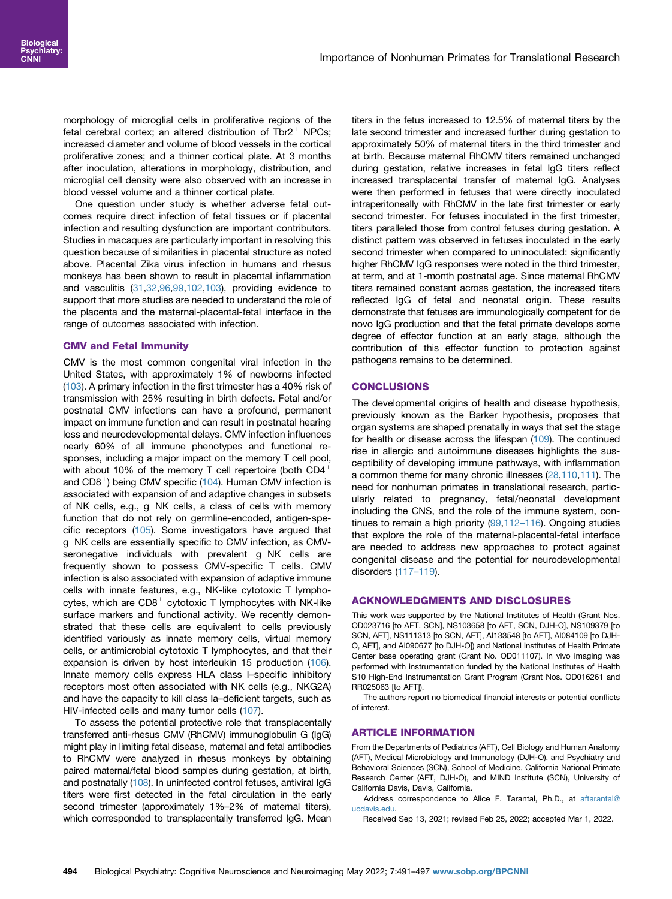morphology of microglial cells in proliferative regions of the fetal cerebral cortex; an altered distribution of Tbr $2^+$  NPCs; increased diameter and volume of blood vessels in the cortical proliferative zones; and a thinner cortical plate. At 3 months after inoculation, alterations in morphology, distribution, and microglial cell density were also observed with an increase in blood vessel volume and a thinner cortical plate.

One question under study is whether adverse fetal outcomes require direct infection of fetal tissues or if placental infection and resulting dysfunction are important contributors. Studies in macaques are particularly important in resolving this question because of similarities in placental structure as noted above. Placental Zika virus infection in humans and rhesus monkeys has been shown to result in placental inflammation and vasculitis ([31](#page-4-24)[,32,](#page-4-25)[96](#page-6-10),[99](#page-6-7)[,102](#page-6-11),[103\)](#page-6-12), providing evidence to support that more studies are needed to understand the role of the placenta and the maternal-placental-fetal interface in the range of outcomes associated with infection.

#### CMV and Fetal Immunity

CMV is the most common congenital viral infection in the United States, with approximately 1% of newborns infected ([103\)](#page-6-12). A primary infection in the first trimester has a 40% risk of transmission with 25% resulting in birth defects. Fetal and/or postnatal CMV infections can have a profound, permanent impact on immune function and can result in postnatal hearing loss and neurodevelopmental delays. CMV infection influences nearly 60% of all immune phenotypes and functional responses, including a major impact on the memory T cell pool, with about 10% of the memory T cell repertoire (both  $CD4^+$ and  $CDB<sup>+</sup>$ ) being CMV specific [\(104](#page-6-13)). Human CMV infection is associated with expansion of and adaptive changes in subsets of NK cells, e.g.,  $g^-NK$  cells, a class of cells with memory function that do not rely on germline-encoded, antigen-specific receptors [\(105](#page-6-14)). Some investigators have argued that  $g^-$ NK cells are essentially specific to CMV infection, as CMVseronegative individuals with prevalent  $g^-N$ K cells are frequently shown to possess CMV-specific T cells. CMV infection is also associated with expansion of adaptive immune cells with innate features, e.g., NK-like cytotoxic T lymphocytes, which are  $CDB^+$  cytotoxic T lymphocytes with NK-like surface markers and functional activity. We recently demonstrated that these cells are equivalent to cells previously identified variously as innate memory cells, virtual memory cells, or antimicrobial cytotoxic T lymphocytes, and that their expansion is driven by host interleukin 15 production ([106](#page-6-15)). Innate memory cells express HLA class I–specific inhibitory receptors most often associated with NK cells (e.g., NKG2A) and have the capacity to kill class Ia–deficient targets, such as HIV-infected cells and many tumor cells ([107\)](#page-6-16).

To assess the potential protective role that transplacentally transferred anti-rhesus CMV (RhCMV) immunoglobulin G (IgG) might play in limiting fetal disease, maternal and fetal antibodies to RhCMV were analyzed in rhesus monkeys by obtaining paired maternal/fetal blood samples during gestation, at birth, and postnatally [\(108](#page-6-17)). In uninfected control fetuses, antiviral IgG titers were first detected in the fetal circulation in the early second trimester (approximately 1%–2% of maternal titers), which corresponded to transplacentally transferred IgG. Mean titers in the fetus increased to 12.5% of maternal titers by the late second trimester and increased further during gestation to approximately 50% of maternal titers in the third trimester and at birth. Because maternal RhCMV titers remained unchanged during gestation, relative increases in fetal IgG titers reflect increased transplacental transfer of maternal IgG. Analyses were then performed in fetuses that were directly inoculated intraperitoneally with RhCMV in the late first trimester or early second trimester. For fetuses inoculated in the first trimester, titers paralleled those from control fetuses during gestation. A distinct pattern was observed in fetuses inoculated in the early second trimester when compared to uninoculated: significantly higher RhCMV IgG responses were noted in the third trimester, at term, and at 1-month postnatal age. Since maternal RhCMV titers remained constant across gestation, the increased titers reflected IgG of fetal and neonatal origin. These results demonstrate that fetuses are immunologically competent for de novo IgG production and that the fetal primate develops some degree of effector function at an early stage, although the contribution of this effector function to protection against pathogens remains to be determined.

### **CONCLUSIONS**

The developmental origins of health and disease hypothesis, previously known as the Barker hypothesis, proposes that organ systems are shaped prenatally in ways that set the stage for health or disease across the lifespan [\(109](#page-6-18)). The continued rise in allergic and autoimmune diseases highlights the susceptibility of developing immune pathways, with inflammation a common theme for many chronic illnesses [\(28](#page-4-26),[110,](#page-6-19)[111](#page-6-20)). The need for nonhuman primates in translational research, particularly related to pregnancy, fetal/neonatal development including the CNS, and the role of the immune system, continues to remain a high priority ([99](#page-6-7),112–[116\)](#page-6-21). Ongoing studies that explore the role of the maternal-placental-fetal interface are needed to address new approaches to protect against congenital disease and the potential for neurodevelopmental disorders (117–[119\)](#page-6-22).

#### ACKNOWLEDGMENTS AND DISCLOSURES

This work was supported by the National Institutes of Health (Grant Nos. OD023716 [to AFT, SCN], NS103658 [to AFT, SCN, DJH-O], NS109379 [to SCN, AFT], NS111313 [to SCN, AFT], AI133548 [to AFT], AI084109 [to DJH-O, AFT], and AI090677 [to DJH-O]) and National Institutes of Health Primate Center base operating grant (Grant No. OD011107). In vivo imaging was performed with instrumentation funded by the National Institutes of Health S10 High-End Instrumentation Grant Program (Grant Nos. OD016261 and RR025063 [to AFT]).

The authors report no biomedical financial interests or potential conflicts of interest.

# ARTICLE INFORMATION

From the Departments of Pediatrics (AFT), Cell Biology and Human Anatomy (AFT), Medical Microbiology and Immunology (DJH-O), and Psychiatry and Behavioral Sciences (SCN), School of Medicine, California National Primate Research Center (AFT, DJH-O), and MIND Institute (SCN), University of California Davis, Davis, California.

Address correspondence to Alice F. Tarantal, Ph.D., at [aftarantal@](mailto:aftarantal@ucdavis.edu) [ucdavis.edu.](mailto:aftarantal@ucdavis.edu)

Received Sep 13, 2021; revised Feb 25, 2022; accepted Mar 1, 2022.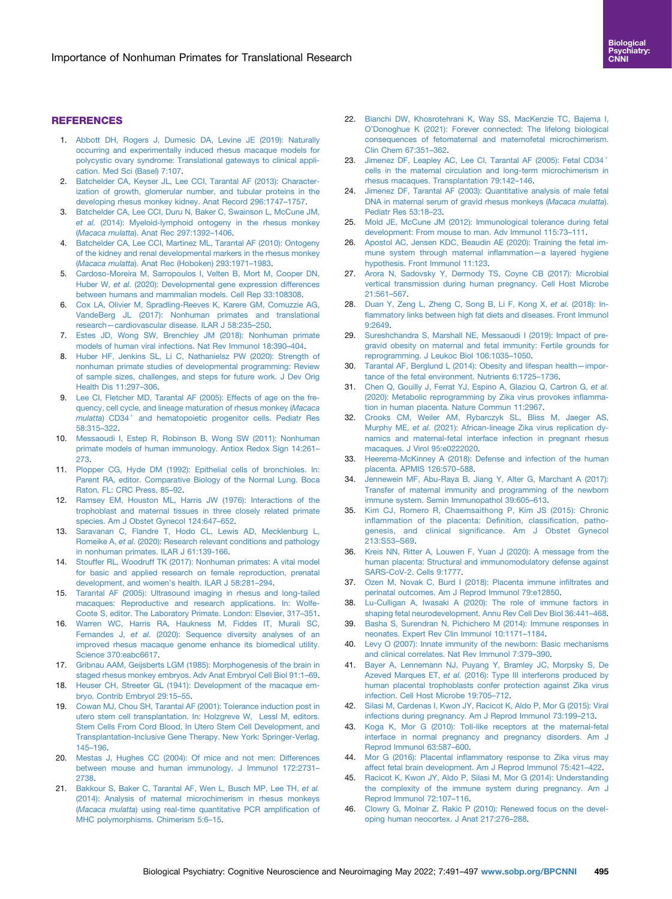# **REFERENCES**

- <span id="page-4-0"></span>1. [Abbott DH, Rogers J, Dumesic DA, Levine JE \(2019\): Naturally](http://refhub.elsevier.com/S2451-9022(22)00053-2/sref1) [occurring and experimentally induced rhesus macaque models for](http://refhub.elsevier.com/S2451-9022(22)00053-2/sref1) [polycystic ovary syndrome: Translational gateways to clinical appli](http://refhub.elsevier.com/S2451-9022(22)00053-2/sref1)[cation. Med Sci \(Basel\) 7:107.](http://refhub.elsevier.com/S2451-9022(22)00053-2/sref1)
- <span id="page-4-5"></span>2. [Batchelder CA, Keyser JL, Lee CCI, Tarantal AF \(2013\): Character](http://refhub.elsevier.com/S2451-9022(22)00053-2/sref2)[ization of growth, glomerular number, and tubular proteins in the](http://refhub.elsevier.com/S2451-9022(22)00053-2/sref2) [developing rhesus monkey kidney. Anat Record 296:1747](http://refhub.elsevier.com/S2451-9022(22)00053-2/sref2)–1757.
- <span id="page-4-8"></span>3. [Batchelder CA, Lee CCI, Duru N, Baker C, Swainson L, McCune JM,](http://refhub.elsevier.com/S2451-9022(22)00053-2/sref3) et al. [\(2014\): Myeloid-lymphoid ontogeny in the rhesus monkey](http://refhub.elsevier.com/S2451-9022(22)00053-2/sref3) (Macaca mulatta[\). Anat Rec 297:1392](http://refhub.elsevier.com/S2451-9022(22)00053-2/sref3)–1406.
- 4. [Batchelder CA, Lee CCI, Martinez ML, Tarantal AF \(2010\): Ontogeny](http://refhub.elsevier.com/S2451-9022(22)00053-2/sref4) [of the kidney and renal developmental markers in the rhesus monkey](http://refhub.elsevier.com/S2451-9022(22)00053-2/sref4) (Macaca mulatta[\). Anat Rec \(Hoboken\) 293:1971](http://refhub.elsevier.com/S2451-9022(22)00053-2/sref4)–1983.
- 5. [Cardoso-Moreira M, Sarropoulos I, Velten B, Mort M, Cooper DN,](http://refhub.elsevier.com/S2451-9022(22)00053-2/sref5) Huber W, et al. [\(2020\): Developmental gene expression differences](http://refhub.elsevier.com/S2451-9022(22)00053-2/sref5) [between humans and mammalian models. Cell Rep 33:108308](http://refhub.elsevier.com/S2451-9022(22)00053-2/sref5).
- 6. [Cox LA, Olivier M, Spradling-Reeves K, Karere GM, Comuzzie AG,](http://refhub.elsevier.com/S2451-9022(22)00053-2/sref6) [VandeBerg JL \(2017\): Nonhuman primates and translational](http://refhub.elsevier.com/S2451-9022(22)00053-2/sref6) research—[cardiovascular disease. ILAR J 58:235](http://refhub.elsevier.com/S2451-9022(22)00053-2/sref6)–250.
- 7. [Estes JD, Wong SW, Brenchley JM \(2018\): Nonhuman primate](http://refhub.elsevier.com/S2451-9022(22)00053-2/sref7) [models of human viral infections. Nat Rev Immunol 18:390](http://refhub.elsevier.com/S2451-9022(22)00053-2/sref7)–404.
- 8. [Huber HF, Jenkins SL, Li C, Nathanielsz PW \(2020\): Strength of](http://refhub.elsevier.com/S2451-9022(22)00053-2/sref8) [nonhuman primate studies of developmental programming: Review](http://refhub.elsevier.com/S2451-9022(22)00053-2/sref8) [of sample sizes, challenges, and steps for future work. J Dev Orig](http://refhub.elsevier.com/S2451-9022(22)00053-2/sref8) [Health Dis 11:297](http://refhub.elsevier.com/S2451-9022(22)00053-2/sref8)–306.
- <span id="page-4-6"></span>9. [Lee CI, Fletcher MD, Tarantal AF \(2005\): Effects of age on the fre](http://refhub.elsevier.com/S2451-9022(22)00053-2/sref9)[quency, cell cycle, and lineage maturation of rhesus monkey \(](http://refhub.elsevier.com/S2451-9022(22)00053-2/sref9)Macaca  $m$ ulatta[\)](http://refhub.elsevier.com/S2451-9022(22)00053-2/sref9) [CD34](http://refhub.elsevier.com/S2451-9022(22)00053-2/sref9)<sup>+</sup> [and hematopoietic progenitor cells. Pediatr Res](http://refhub.elsevier.com/S2451-9022(22)00053-2/sref9) [58:315](http://refhub.elsevier.com/S2451-9022(22)00053-2/sref9)–322.
- 10. [Messaoudi I, Estep R, Robinson B, Wong SW \(2011\): Nonhuman](http://refhub.elsevier.com/S2451-9022(22)00053-2/sref10) [primate models of human immunology. Antiox Redox Sign 14:261](http://refhub.elsevier.com/S2451-9022(22)00053-2/sref10)– [273.](http://refhub.elsevier.com/S2451-9022(22)00053-2/sref10)
- 11. [Plopper CG, Hyde DM \(1992\): Epithelial cells of bronchioles. In:](http://refhub.elsevier.com/S2451-9022(22)00053-2/sref11) [Parent RA, editor. Comparative Biology of the Normal Lung. Boca](http://refhub.elsevier.com/S2451-9022(22)00053-2/sref11) [Raton, FL: CRC Press, 85](http://refhub.elsevier.com/S2451-9022(22)00053-2/sref11)–92.
- <span id="page-4-1"></span>12. [Ramsey EM, Houston ML, Harris JW \(1976\): Interactions of the](http://refhub.elsevier.com/S2451-9022(22)00053-2/sref12) [trophoblast and maternal tissues in three closely related primate](http://refhub.elsevier.com/S2451-9022(22)00053-2/sref12) [species. Am J Obstet Gynecol 124:647](http://refhub.elsevier.com/S2451-9022(22)00053-2/sref12)–652.
- 13. [Saravanan C, Flandre T, Hodo CL, Lewis AD, Mecklenburg L,](http://refhub.elsevier.com/S2451-9022(22)00053-2/sref13) Romeike A, et al. [\(2020\): Research relevant conditions and pathology](http://refhub.elsevier.com/S2451-9022(22)00053-2/sref13) [in nonhuman primates. ILAR J 61:139-166.](http://refhub.elsevier.com/S2451-9022(22)00053-2/sref13)
- 14. [Stouffer RL, Woodruff TK \(2017\): Nonhuman primates: A vital model](http://refhub.elsevier.com/S2451-9022(22)00053-2/sref14) [for basic and applied research on female reproduction, prenatal](http://refhub.elsevier.com/S2451-9022(22)00053-2/sref14) [development, and women](http://refhub.elsevier.com/S2451-9022(22)00053-2/sref14)'s health. ILAR J 58:281–294.
- <span id="page-4-2"></span>15. [Tarantal AF \(2005\): Ultrasound imaging in rhesus and long-tailed](http://refhub.elsevier.com/S2451-9022(22)00053-2/sref15) [macaques: Reproductive and research applications. In: Wolfe-](http://refhub.elsevier.com/S2451-9022(22)00053-2/sref15)[Coote S, editor. The Laboratory Primate. London: Elsevier, 317](http://refhub.elsevier.com/S2451-9022(22)00053-2/sref15)–351.
- 16. [Warren WC, Harris RA, Haukness M, Fiddes IT, Murali SC,](http://refhub.elsevier.com/S2451-9022(22)00053-2/sref16) Fernandes J, et al. [\(2020\): Sequence diversity analyses of an](http://refhub.elsevier.com/S2451-9022(22)00053-2/sref16) [improved rhesus macaque genome enhance its biomedical utility.](http://refhub.elsevier.com/S2451-9022(22)00053-2/sref16) [Science 370:eabc6617](http://refhub.elsevier.com/S2451-9022(22)00053-2/sref16).
- <span id="page-4-3"></span>17. [Gribnau AAM, Geijsberts LGM \(1985\): Morphogenesis of the brain in](http://refhub.elsevier.com/S2451-9022(22)00053-2/sref17) [staged rhesus monkey embryos. Adv Anat Embryol Cell Biol 91:1](http://refhub.elsevier.com/S2451-9022(22)00053-2/sref17)–69.
- <span id="page-4-4"></span>18. [Heuser CH, Streeter GL \(1941\): Development of the macaque em](http://refhub.elsevier.com/S2451-9022(22)00053-2/sref18)[bryo. Contrib Embryol 29:15](http://refhub.elsevier.com/S2451-9022(22)00053-2/sref18)–55.
- <span id="page-4-7"></span>19. [Cowan MJ, Chou SH, Tarantal AF \(2001\): Tolerance induction post in](http://refhub.elsevier.com/S2451-9022(22)00053-2/sref19) [utero stem cell transplantation. In: Holzgreve W, Lessl M, editors.](http://refhub.elsevier.com/S2451-9022(22)00053-2/sref19) [Stem Cells From Cord Blood, In Utero Stem Cell Development, and](http://refhub.elsevier.com/S2451-9022(22)00053-2/sref19) [Transplantation-Inclusive Gene Therapy. New York: Springer-Verlag,](http://refhub.elsevier.com/S2451-9022(22)00053-2/sref19) 145–[196.](http://refhub.elsevier.com/S2451-9022(22)00053-2/sref19)
- <span id="page-4-9"></span>20. [Mestas J, Hughes CC \(2004\): Of mice and not men: Differences](http://refhub.elsevier.com/S2451-9022(22)00053-2/sref20) [between mouse and human immunology. J Immunol 172:2731](http://refhub.elsevier.com/S2451-9022(22)00053-2/sref20)– [2738.](http://refhub.elsevier.com/S2451-9022(22)00053-2/sref20)
- <span id="page-4-10"></span>21. [Bakkour S, Baker C, Tarantal AF, Wen L, Busch MP, Lee TH,](http://refhub.elsevier.com/S2451-9022(22)00053-2/sref21) et al. [\(2014\): Analysis of maternal microchimerism in rhesus monkeys](http://refhub.elsevier.com/S2451-9022(22)00053-2/sref21) (Macaca mulatta[\) using real-time quantitative PCR ampli](http://refhub.elsevier.com/S2451-9022(22)00053-2/sref21)fication of [MHC polymorphisms. Chimerism 5:6](http://refhub.elsevier.com/S2451-9022(22)00053-2/sref21)–15.
- 22. [Bianchi DW, Khosrotehrani K, Way SS, MacKenzie TC, Bajema I,](http://refhub.elsevier.com/S2451-9022(22)00053-2/sref22) O'[Donoghue K \(2021\): Forever connected: The lifelong biological](http://refhub.elsevier.com/S2451-9022(22)00053-2/sref22) [consequences of fetomaternal and maternofetal microchimerism.](http://refhub.elsevier.com/S2451-9022(22)00053-2/sref22) [Clin Chem 67:351](http://refhub.elsevier.com/S2451-9022(22)00053-2/sref22)–362.
- 23. [Jimenez](http://refhub.elsevier.com/S2451-9022(22)00053-2/sref23) [DF,](http://refhub.elsevier.com/S2451-9022(22)00053-2/sref23) [Leapley](http://refhub.elsevier.com/S2451-9022(22)00053-2/sref23) [AC,](http://refhub.elsevier.com/S2451-9022(22)00053-2/sref23) [Lee](http://refhub.elsevier.com/S2451-9022(22)00053-2/sref23) [CI,](http://refhub.elsevier.com/S2451-9022(22)00053-2/sref23) [Tarantal](http://refhub.elsevier.com/S2451-9022(22)00053-2/sref23) [AF](http://refhub.elsevier.com/S2451-9022(22)00053-2/sref23) [\(2005\):](http://refhub.elsevier.com/S2451-9022(22)00053-2/sref23) [Fetal](http://refhub.elsevier.com/S2451-9022(22)00053-2/sref23)  $CD34<sup>+</sup>$  $CD34<sup>+</sup>$ [cells in the maternal circulation and long-term microchimerism in](http://refhub.elsevier.com/S2451-9022(22)00053-2/sref23) [rhesus macaques. Transplantation 79:142](http://refhub.elsevier.com/S2451-9022(22)00053-2/sref23)–146.
- 24. [Jimenez DF, Tarantal AF \(2003\): Quantitative analysis of male fetal](http://refhub.elsevier.com/S2451-9022(22)00053-2/sref24) [DNA in maternal serum of gravid rhesus monkeys \(](http://refhub.elsevier.com/S2451-9022(22)00053-2/sref24)Macaca mulatta). [Pediatr Res 53:18](http://refhub.elsevier.com/S2451-9022(22)00053-2/sref24)–23.
- 25. [Mold JE, McCune JM \(2012\): Immunological tolerance during fetal](http://refhub.elsevier.com/S2451-9022(22)00053-2/sref25) [development: From mouse to man. Adv Immunol 115:73](http://refhub.elsevier.com/S2451-9022(22)00053-2/sref25)–111.
- <span id="page-4-11"></span>26. [Apostol AC, Jensen KDC, Beaudin AE \(2020\): Training the fetal im](http://refhub.elsevier.com/S2451-9022(22)00053-2/sref26)[mune system through maternal in](http://refhub.elsevier.com/S2451-9022(22)00053-2/sref26)flammation—a layered hygiene [hypothesis. Front Immunol 11:123.](http://refhub.elsevier.com/S2451-9022(22)00053-2/sref26)
- 27. [Arora N, Sadovsky Y, Dermody TS, Coyne CB \(2017\): Microbial](http://refhub.elsevier.com/S2451-9022(22)00053-2/sref27) [vertical transmission during human pregnancy. Cell Host Microbe](http://refhub.elsevier.com/S2451-9022(22)00053-2/sref27) [21:561](http://refhub.elsevier.com/S2451-9022(22)00053-2/sref27)–567.
- <span id="page-4-26"></span>28. [Duan Y, Zeng L, Zheng C, Song B, Li F, Kong X,](http://refhub.elsevier.com/S2451-9022(22)00053-2/sref28) et al. (2018): Infl[ammatory links between high fat diets and diseases. Front Immunol](http://refhub.elsevier.com/S2451-9022(22)00053-2/sref28) [9:2649.](http://refhub.elsevier.com/S2451-9022(22)00053-2/sref28)
- 29. [Sureshchandra S, Marshall NE, Messaoudi I \(2019\): Impact of pre](http://refhub.elsevier.com/S2451-9022(22)00053-2/sref29)[gravid obesity on maternal and fetal immunity: Fertile grounds for](http://refhub.elsevier.com/S2451-9022(22)00053-2/sref29) [reprogramming. J Leukoc Biol 106:1035](http://refhub.elsevier.com/S2451-9022(22)00053-2/sref29)–1050.
- <span id="page-4-12"></span>30. [Tarantal AF, Berglund L \(2014\): Obesity and lifespan health](http://refhub.elsevier.com/S2451-9022(22)00053-2/sref30)—impor[tance of the fetal environment. Nutrients 6:1725](http://refhub.elsevier.com/S2451-9022(22)00053-2/sref30)–1736.
- <span id="page-4-24"></span>31. [Chen Q, Gouilly J, Ferrat YJ, Espino A, Glaziou Q, Cartron G,](http://refhub.elsevier.com/S2451-9022(22)00053-2/sref31) et al. [\(2020\): Metabolic reprogramming by Zika virus provokes in](http://refhub.elsevier.com/S2451-9022(22)00053-2/sref31)flamma[tion in human placenta. Nature Commun 11:2967](http://refhub.elsevier.com/S2451-9022(22)00053-2/sref31).
- <span id="page-4-25"></span>32. [Crooks CM, Weiler AM, Rybarczyk SL, Bliss M, Jaeger AS,](http://refhub.elsevier.com/S2451-9022(22)00053-2/sref32) Murphy ME, et al. [\(2021\): African-lineage Zika virus replication dy](http://refhub.elsevier.com/S2451-9022(22)00053-2/sref32)[namics and maternal-fetal interface infection in pregnant rhesus](http://refhub.elsevier.com/S2451-9022(22)00053-2/sref32) [macaques. J Virol 95:e0222020](http://refhub.elsevier.com/S2451-9022(22)00053-2/sref32).
- 33. [Heerema-McKinney A \(2018\): Defense and infection of the human](http://refhub.elsevier.com/S2451-9022(22)00053-2/sref33) [placenta. APMIS 126:570](http://refhub.elsevier.com/S2451-9022(22)00053-2/sref33)–588.
- 34. [Jennewein MF, Abu-Raya B, Jiang Y, Alter G, Marchant A \(2017\):](http://refhub.elsevier.com/S2451-9022(22)00053-2/sref34) [Transfer of maternal immunity and programming of the newborn](http://refhub.elsevier.com/S2451-9022(22)00053-2/sref34) [immune system. Semin Immunopathol 39:605](http://refhub.elsevier.com/S2451-9022(22)00053-2/sref34)–613.
- <span id="page-4-17"></span>35. [Kim CJ, Romero R, Chaemsaithong P, Kim JS \(2015\): Chronic](http://refhub.elsevier.com/S2451-9022(22)00053-2/sref35) infl[ammation of the placenta: De](http://refhub.elsevier.com/S2451-9022(22)00053-2/sref35)finition, classification, pathogenesis, and clinical signifi[cance. Am J Obstet Gynecol](http://refhub.elsevier.com/S2451-9022(22)00053-2/sref35) [213:S53](http://refhub.elsevier.com/S2451-9022(22)00053-2/sref35)–S69.
- <span id="page-4-16"></span>36. [Kreis NN, Ritter A, Louwen F, Yuan J \(2020\): A message from the](http://refhub.elsevier.com/S2451-9022(22)00053-2/sref36) [human placenta: Structural and immunomodulatory defense against](http://refhub.elsevier.com/S2451-9022(22)00053-2/sref36) [SARS-CoV-2. Cells 9:1777](http://refhub.elsevier.com/S2451-9022(22)00053-2/sref36).
- 37. [Ozen M, Novak C, Burd I \(2018\): Placenta immune in](http://refhub.elsevier.com/S2451-9022(22)00053-2/sref37)filtrates and [perinatal outcomes. Am J Reprod Immunol 79:e12850](http://refhub.elsevier.com/S2451-9022(22)00053-2/sref37).
- <span id="page-4-13"></span>38. [Lu-Culligan A, Iwasaki A \(2020\): The role of immune factors in](http://refhub.elsevier.com/S2451-9022(22)00053-2/sref38) [shaping fetal neurodevelopment. Annu Rev Cell Dev Biol 36:441](http://refhub.elsevier.com/S2451-9022(22)00053-2/sref38)–468.
- <span id="page-4-14"></span>39. [Basha S, Surendran N, Pichichero M \(2014\): Immune responses in](http://refhub.elsevier.com/S2451-9022(22)00053-2/sref39) [neonates. Expert Rev Clin Immunol 10:1171](http://refhub.elsevier.com/S2451-9022(22)00053-2/sref39)–1184.
- <span id="page-4-15"></span>40. [Levy O \(2007\): Innate immunity of the newborn: Basic mechanisms](http://refhub.elsevier.com/S2451-9022(22)00053-2/sref40) [and clinical correlates. Nat Rev Immunol 7:379](http://refhub.elsevier.com/S2451-9022(22)00053-2/sref40)–390.
- <span id="page-4-18"></span>41. [Bayer A, Lennemann NJ, Puyang Y, Bramley JC, Morpsky S, De](http://refhub.elsevier.com/S2451-9022(22)00053-2/sref41) Azeved Marques ET, et al. [\(2016\): Type III interferons produced by](http://refhub.elsevier.com/S2451-9022(22)00053-2/sref41) [human placental trophoblasts confer protection against Zika virus](http://refhub.elsevier.com/S2451-9022(22)00053-2/sref41) [infection. Cell Host Microbe 19:705](http://refhub.elsevier.com/S2451-9022(22)00053-2/sref41)–712.
- <span id="page-4-19"></span>42. [Silasi M, Cardenas I, Kwon JY, Racicot K, Aldo P, Mor G \(2015\): Viral](http://refhub.elsevier.com/S2451-9022(22)00053-2/sref42) [infections during pregnancy. Am J Reprod Immunol 73:199](http://refhub.elsevier.com/S2451-9022(22)00053-2/sref42)–213.
- <span id="page-4-20"></span>43. [Koga K, Mor G \(2010\): Toll-like receptors at the maternal-fetal](http://refhub.elsevier.com/S2451-9022(22)00053-2/sref43) [interface in normal pregnancy and pregnancy disorders. Am J](http://refhub.elsevier.com/S2451-9022(22)00053-2/sref43) [Reprod Immunol 63:587](http://refhub.elsevier.com/S2451-9022(22)00053-2/sref43)–600.
- <span id="page-4-21"></span>44. Mor G (2016): Placental infl[ammatory response to Zika virus may](http://refhub.elsevier.com/S2451-9022(22)00053-2/sref44) [affect fetal brain development. Am J Reprod Immunol 75:421](http://refhub.elsevier.com/S2451-9022(22)00053-2/sref44)–422.
- <span id="page-4-22"></span>45. [Racicot K, Kwon JY, Aldo P, Silasi M, Mor G \(2014\): Understanding](http://refhub.elsevier.com/S2451-9022(22)00053-2/sref45) [the complexity of the immune system during pregnancy. Am J](http://refhub.elsevier.com/S2451-9022(22)00053-2/sref45) [Reprod Immunol 72:107](http://refhub.elsevier.com/S2451-9022(22)00053-2/sref45)–116.
- <span id="page-4-23"></span>46. [Clowry G, Molnar Z, Rakic P \(2010\): Renewed focus on the devel](http://refhub.elsevier.com/S2451-9022(22)00053-2/sref46)[oping human neocortex. J Anat 217:276](http://refhub.elsevier.com/S2451-9022(22)00053-2/sref46)–288.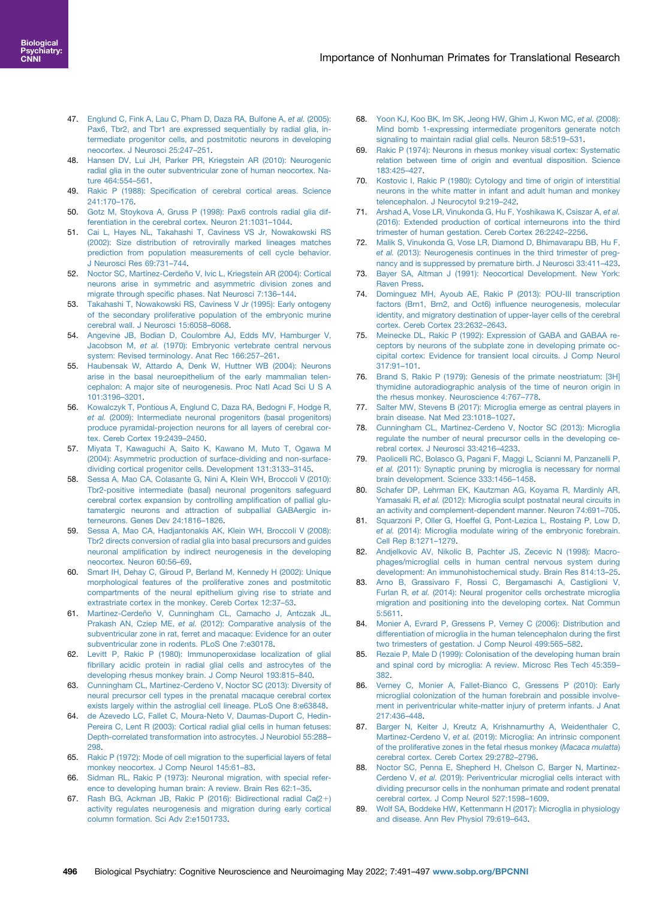- <span id="page-5-0"></span>47. [Englund C, Fink A, Lau C, Pham D, Daza RA, Bulfone A,](http://refhub.elsevier.com/S2451-9022(22)00053-2/sref47) et al. (2005): [Pax6, Tbr2, and Tbr1 are expressed sequentially by radial glia, in](http://refhub.elsevier.com/S2451-9022(22)00053-2/sref47)[termediate progenitor cells, and postmitotic neurons in developing](http://refhub.elsevier.com/S2451-9022(22)00053-2/sref47) [neocortex. J Neurosci 25:247](http://refhub.elsevier.com/S2451-9022(22)00053-2/sref47)–251.
- <span id="page-5-1"></span>48. [Hansen DV, Lui JH, Parker PR, Kriegstein AR \(2010\): Neurogenic](http://refhub.elsevier.com/S2451-9022(22)00053-2/sref48) [radial glia in the outer subventricular zone of human neocortex. Na](http://refhub.elsevier.com/S2451-9022(22)00053-2/sref48)[ture 464:554](http://refhub.elsevier.com/S2451-9022(22)00053-2/sref48)–561.
- <span id="page-5-2"></span>49. Rakic P (1988): Specifi[cation of cerebral cortical areas. Science](http://refhub.elsevier.com/S2451-9022(22)00053-2/sref49) [241:170](http://refhub.elsevier.com/S2451-9022(22)00053-2/sref49)–176.
- <span id="page-5-3"></span>50. [Gotz M, Stoykova A, Gruss P \(1998\): Pax6 controls radial glia dif](http://refhub.elsevier.com/S2451-9022(22)00053-2/sref50)[ferentiation in the cerebral cortex. Neuron 21:1031](http://refhub.elsevier.com/S2451-9022(22)00053-2/sref50)–1044.
- <span id="page-5-4"></span>51. [Cai L, Hayes NL, Takahashi T, Caviness VS Jr, Nowakowski RS](http://refhub.elsevier.com/S2451-9022(22)00053-2/sref51) [\(2002\): Size distribution of retrovirally marked lineages matches](http://refhub.elsevier.com/S2451-9022(22)00053-2/sref51) [prediction from population measurements of cell cycle behavior.](http://refhub.elsevier.com/S2451-9022(22)00053-2/sref51) [J Neurosci Res 69:731](http://refhub.elsevier.com/S2451-9022(22)00053-2/sref51)–744.
- <span id="page-5-6"></span>52. [Noctor SC, Martínez-Cerdeño V, Ivic L, Kriegstein AR \(2004\): Cortical](http://refhub.elsevier.com/S2451-9022(22)00053-2/sref52) [neurons arise in symmetric and asymmetric division zones and](http://refhub.elsevier.com/S2451-9022(22)00053-2/sref52) migrate through specifi[c phases. Nat Neurosci 7:136](http://refhub.elsevier.com/S2451-9022(22)00053-2/sref52)–144.
- 53. [Takahashi T, Nowakowski RS, Caviness V Jr \(1995\): Early ontogeny](http://refhub.elsevier.com/S2451-9022(22)00053-2/sref53) [of the secondary proliferative population of the embryonic murine](http://refhub.elsevier.com/S2451-9022(22)00053-2/sref53) [cerebral wall. J Neurosci 15:6058](http://refhub.elsevier.com/S2451-9022(22)00053-2/sref53)–6068.
- <span id="page-5-5"></span>54. [Angevine JB, Bodian D, Coulombre AJ, Edds MV, Hamburger V,](http://refhub.elsevier.com/S2451-9022(22)00053-2/sref54) Jacobson M, et al. [\(1970\): Embryonic vertebrate central nervous](http://refhub.elsevier.com/S2451-9022(22)00053-2/sref54) [system: Revised terminology. Anat Rec 166:257](http://refhub.elsevier.com/S2451-9022(22)00053-2/sref54)–261.
- <span id="page-5-7"></span>55. [Haubensak W, Attardo A, Denk W, Huttner WB \(2004\): Neurons](http://refhub.elsevier.com/S2451-9022(22)00053-2/sref55) [arise in the basal neuroepithelium of the early mammalian telen](http://refhub.elsevier.com/S2451-9022(22)00053-2/sref55)[cephalon: A major site of neurogenesis. Proc Natl Acad Sci U S A](http://refhub.elsevier.com/S2451-9022(22)00053-2/sref55) [101:3196](http://refhub.elsevier.com/S2451-9022(22)00053-2/sref55)–3201.
- 56. [Kowalczyk T, Pontious A, Englund C, Daza RA, Bedogni F, Hodge R,](http://refhub.elsevier.com/S2451-9022(22)00053-2/sref56) et al. [\(2009\): Intermediate neuronal progenitors \(basal progenitors\)](http://refhub.elsevier.com/S2451-9022(22)00053-2/sref56) [produce pyramidal-projection neurons for all layers of cerebral cor](http://refhub.elsevier.com/S2451-9022(22)00053-2/sref56)[tex. Cereb Cortex 19:2439](http://refhub.elsevier.com/S2451-9022(22)00053-2/sref56)–2450.
- 57. [Miyata T, Kawaguchi A, Saito K, Kawano M, Muto T, Ogawa M](http://refhub.elsevier.com/S2451-9022(22)00053-2/sref57) [\(2004\): Asymmetric production of surface-dividing and non-surface](http://refhub.elsevier.com/S2451-9022(22)00053-2/sref57)[dividing cortical progenitor cells. Development 131:3133](http://refhub.elsevier.com/S2451-9022(22)00053-2/sref57)–3145.
- 58. [Sessa A, Mao CA, Colasante G, Nini A, Klein WH, Broccoli V \(2010\):](http://refhub.elsevier.com/S2451-9022(22)00053-2/sref58) [Tbr2-positive intermediate \(basal\) neuronal progenitors safeguard](http://refhub.elsevier.com/S2451-9022(22)00053-2/sref58) [cerebral cortex expansion by controlling ampli](http://refhub.elsevier.com/S2451-9022(22)00053-2/sref58)fication of pallial glu[tamatergic neurons and attraction of subpallial GABAergic in](http://refhub.elsevier.com/S2451-9022(22)00053-2/sref58)[terneurons. Genes Dev 24:1816](http://refhub.elsevier.com/S2451-9022(22)00053-2/sref58)–1826.
- 59. [Sessa A, Mao CA, Hadjantonakis AK, Klein WH, Broccoli V \(2008\):](http://refhub.elsevier.com/S2451-9022(22)00053-2/sref59) [Tbr2 directs conversion of radial glia into basal precursors and guides](http://refhub.elsevier.com/S2451-9022(22)00053-2/sref59) neuronal amplifi[cation by indirect neurogenesis in the developing](http://refhub.elsevier.com/S2451-9022(22)00053-2/sref59) [neocortex. Neuron 60:56](http://refhub.elsevier.com/S2451-9022(22)00053-2/sref59)–69.
- <span id="page-5-8"></span>60. [Smart IH, Dehay C, Giroud P, Berland M, Kennedy H \(2002\): Unique](http://refhub.elsevier.com/S2451-9022(22)00053-2/sref60) [morphological features of the proliferative zones and postmitotic](http://refhub.elsevier.com/S2451-9022(22)00053-2/sref60) [compartments of the neural epithelium giving rise to striate and](http://refhub.elsevier.com/S2451-9022(22)00053-2/sref60) [extrastriate cortex in the monkey. Cereb Cortex 12:37](http://refhub.elsevier.com/S2451-9022(22)00053-2/sref60)–53.
- <span id="page-5-9"></span>61. [Martinez-Cerdeño V, Cunningham CL, Camacho J, Antczak JL,](http://refhub.elsevier.com/S2451-9022(22)00053-2/sref61) Prakash AN, Cziep ME, et al. [\(2012\): Comparative analysis of the](http://refhub.elsevier.com/S2451-9022(22)00053-2/sref61) [subventricular zone in rat, ferret and macaque: Evidence for an outer](http://refhub.elsevier.com/S2451-9022(22)00053-2/sref61) [subventricular zone in rodents. PLoS One 7:e30178.](http://refhub.elsevier.com/S2451-9022(22)00053-2/sref61)
- <span id="page-5-10"></span>62. [Levitt P, Rakic P \(1980\): Immunoperoxidase localization of glial](http://refhub.elsevier.com/S2451-9022(22)00053-2/sref62) fi[brillary acidic protein in radial glial cells and astrocytes of the](http://refhub.elsevier.com/S2451-9022(22)00053-2/sref62) [developing rhesus monkey brain. J Comp Neurol 193:815](http://refhub.elsevier.com/S2451-9022(22)00053-2/sref62)–840.
- 63. [Cunningham CL, Martinez-Cerdeno V, Noctor SC \(2013\): Diversity of](http://refhub.elsevier.com/S2451-9022(22)00053-2/sref63) [neural precursor cell types in the prenatal macaque cerebral cortex](http://refhub.elsevier.com/S2451-9022(22)00053-2/sref63) [exists largely within the astroglial cell lineage. PLoS One 8:e63848.](http://refhub.elsevier.com/S2451-9022(22)00053-2/sref63)
- <span id="page-5-12"></span>64. [de Azevedo LC, Fallet C, Moura-Neto V, Daumas-Duport C, Hedin-](http://refhub.elsevier.com/S2451-9022(22)00053-2/sref64)[Pereira C, Lent R \(2003\): Cortical radial glial cells in human fetuses:](http://refhub.elsevier.com/S2451-9022(22)00053-2/sref64) [Depth-correlated transformation into astrocytes. J Neurobiol 55:288](http://refhub.elsevier.com/S2451-9022(22)00053-2/sref64)– [298.](http://refhub.elsevier.com/S2451-9022(22)00053-2/sref64)
- <span id="page-5-11"></span>65. [Rakic P \(1972\): Mode of cell migration to the super](http://refhub.elsevier.com/S2451-9022(22)00053-2/sref65)ficial layers of fetal [monkey neocortex. J Comp Neurol 145:61](http://refhub.elsevier.com/S2451-9022(22)00053-2/sref65)–83.
- <span id="page-5-13"></span>66. [Sidman RL, Rakic P \(1973\): Neuronal migration, with special refer](http://refhub.elsevier.com/S2451-9022(22)00053-2/sref66)[ence to developing human brain: A review. Brain Res 62:1](http://refhub.elsevier.com/S2451-9022(22)00053-2/sref66)–35.
- <span id="page-5-14"></span>67. [Rash BG, Ackman JB, Rakic P \(2016\): Bidirectional radial Ca\(2](http://refhub.elsevier.com/S2451-9022(22)00053-2/sref67)1[\)](http://refhub.elsevier.com/S2451-9022(22)00053-2/sref67) [activity regulates neurogenesis and migration during early cortical](http://refhub.elsevier.com/S2451-9022(22)00053-2/sref67) [column formation. Sci Adv 2:e1501733.](http://refhub.elsevier.com/S2451-9022(22)00053-2/sref67)
- <span id="page-5-15"></span>68. [Yoon KJ, Koo BK, Im SK, Jeong HW, Ghim J, Kwon MC,](http://refhub.elsevier.com/S2451-9022(22)00053-2/sref68) et al. (2008): [Mind bomb 1-expressing intermediate progenitors generate notch](http://refhub.elsevier.com/S2451-9022(22)00053-2/sref68) [signaling to maintain radial glial cells. Neuron 58:519](http://refhub.elsevier.com/S2451-9022(22)00053-2/sref68)–531.
- <span id="page-5-16"></span>69. [Rakic P \(1974\): Neurons in rhesus monkey visual cortex: Systematic](http://refhub.elsevier.com/S2451-9022(22)00053-2/sref69) [relation between time of origin and eventual disposition. Science](http://refhub.elsevier.com/S2451-9022(22)00053-2/sref69) [183:425](http://refhub.elsevier.com/S2451-9022(22)00053-2/sref69)–427.
- <span id="page-5-17"></span>70. [Kostovic I, Rakic P \(1980\): Cytology and time of origin of interstitial](http://refhub.elsevier.com/S2451-9022(22)00053-2/sref70) [neurons in the white matter in infant and adult human and monkey](http://refhub.elsevier.com/S2451-9022(22)00053-2/sref70) [telencephalon. J Neurocytol 9:219](http://refhub.elsevier.com/S2451-9022(22)00053-2/sref70)–242.
- <span id="page-5-18"></span>71. [Arshad A, Vose LR, Vinukonda G, Hu F, Yoshikawa K, Csiszar A,](http://refhub.elsevier.com/S2451-9022(22)00053-2/sref71) et al. [\(2016\): Extended production of cortical interneurons into the third](http://refhub.elsevier.com/S2451-9022(22)00053-2/sref71) [trimester of human gestation. Cereb Cortex 26:2242](http://refhub.elsevier.com/S2451-9022(22)00053-2/sref71)–2256.
- <span id="page-5-19"></span>72. [Malik S, Vinukonda G, Vose LR, Diamond D, Bhimavarapu BB, Hu F,](http://refhub.elsevier.com/S2451-9022(22)00053-2/sref72) et al. [\(2013\): Neurogenesis continues in the third trimester of preg](http://refhub.elsevier.com/S2451-9022(22)00053-2/sref72)[nancy and is suppressed by premature birth. J Neurosci 33:411](http://refhub.elsevier.com/S2451-9022(22)00053-2/sref72)–423.
- <span id="page-5-20"></span>73. [Bayer SA, Altman J \(1991\): Neocortical Development. New York:](http://refhub.elsevier.com/S2451-9022(22)00053-2/sref73) [Raven Press](http://refhub.elsevier.com/S2451-9022(22)00053-2/sref73).
- <span id="page-5-21"></span>74. [Dominguez MH, Ayoub AE, Rakic P \(2013\): POU-III transcription](http://refhub.elsevier.com/S2451-9022(22)00053-2/sref74) [factors \(Brn1, Brn2, and Oct6\) in](http://refhub.elsevier.com/S2451-9022(22)00053-2/sref74)fluence neurogenesis, molecular [identity, and migratory destination of upper-layer cells of the cerebral](http://refhub.elsevier.com/S2451-9022(22)00053-2/sref74) [cortex. Cereb Cortex 23:2632](http://refhub.elsevier.com/S2451-9022(22)00053-2/sref74)–2643.
- <span id="page-5-22"></span>75. [Meinecke DL, Rakic P \(1992\): Expression of GABA and GABAA re](http://refhub.elsevier.com/S2451-9022(22)00053-2/sref75)[ceptors by neurons of the subplate zone in developing primate oc](http://refhub.elsevier.com/S2451-9022(22)00053-2/sref75)[cipital cortex: Evidence for transient local circuits. J Comp Neurol](http://refhub.elsevier.com/S2451-9022(22)00053-2/sref75) [317:91](http://refhub.elsevier.com/S2451-9022(22)00053-2/sref75)–101.
- <span id="page-5-23"></span>76. [Brand S, Rakic P \(1979\): Genesis of the primate neostriatum: \[3H\]](http://refhub.elsevier.com/S2451-9022(22)00053-2/sref76) [thymidine autoradiographic analysis of the time of neuron origin in](http://refhub.elsevier.com/S2451-9022(22)00053-2/sref76) [the rhesus monkey. Neuroscience 4:767](http://refhub.elsevier.com/S2451-9022(22)00053-2/sref76)–778.
- <span id="page-5-24"></span>77. [Salter MW, Stevens B \(2017\): Microglia emerge as central players in](http://refhub.elsevier.com/S2451-9022(22)00053-2/sref77) [brain disease. Nat Med 23:1018](http://refhub.elsevier.com/S2451-9022(22)00053-2/sref77)–1027.
- <span id="page-5-25"></span>78. [Cunningham CL, Martinez-Cerdeno V, Noctor SC \(2013\): Microglia](http://refhub.elsevier.com/S2451-9022(22)00053-2/sref78) [regulate the number of neural precursor cells in the developing ce](http://refhub.elsevier.com/S2451-9022(22)00053-2/sref78)[rebral cortex. J Neurosci 33:4216](http://refhub.elsevier.com/S2451-9022(22)00053-2/sref78)–4233.
- 79. [Paolicelli RC, Bolasco G, Pagani F, Maggi L, Scianni M, Panzanelli P,](http://refhub.elsevier.com/S2451-9022(22)00053-2/sref79) et al. [\(2011\): Synaptic pruning by microglia is necessary for normal](http://refhub.elsevier.com/S2451-9022(22)00053-2/sref79) [brain development. Science 333:1456](http://refhub.elsevier.com/S2451-9022(22)00053-2/sref79)–1458.
- 80. [Schafer DP, Lehrman EK, Kautzman AG, Koyama R, Mardinly AR,](http://refhub.elsevier.com/S2451-9022(22)00053-2/sref80) Yamasaki R, et al. [\(2012\): Microglia sculpt postnatal neural circuits in](http://refhub.elsevier.com/S2451-9022(22)00053-2/sref80) [an activity and complement-dependent manner. Neuron 74:691](http://refhub.elsevier.com/S2451-9022(22)00053-2/sref80)–705.
- 81. [Squarzoni P, Oller G, Hoeffel G, Pont-Lezica L, Rostaing P, Low D,](http://refhub.elsevier.com/S2451-9022(22)00053-2/sref81) et al. [\(2014\): Microglia modulate wiring of the embryonic forebrain.](http://refhub.elsevier.com/S2451-9022(22)00053-2/sref81) [Cell Rep 8:1271](http://refhub.elsevier.com/S2451-9022(22)00053-2/sref81)–1279.
- <span id="page-5-26"></span>82. [Andjelkovic AV, Nikolic B, Pachter JS, Zecevic N \(1998\): Macro](http://refhub.elsevier.com/S2451-9022(22)00053-2/sref82)[phages/microglial cells in human central nervous system during](http://refhub.elsevier.com/S2451-9022(22)00053-2/sref82) [development: An immunohistochemical study. Brain Res 814:13](http://refhub.elsevier.com/S2451-9022(22)00053-2/sref82)–25.
- 83. [Arno B, Grassivaro F, Rossi C, Bergamaschi A, Castiglioni V,](http://refhub.elsevier.com/S2451-9022(22)00053-2/sref83) Furlan R, et al. [\(2014\): Neural progenitor cells orchestrate microglia](http://refhub.elsevier.com/S2451-9022(22)00053-2/sref83) [migration and positioning into the developing cortex. Nat Commun](http://refhub.elsevier.com/S2451-9022(22)00053-2/sref83) [5:5611.](http://refhub.elsevier.com/S2451-9022(22)00053-2/sref83)
- 84. [Monier A, Evrard P, Gressens P, Verney C \(2006\): Distribution and](http://refhub.elsevier.com/S2451-9022(22)00053-2/sref84) [differentiation of microglia in the human telencephalon during the](http://refhub.elsevier.com/S2451-9022(22)00053-2/sref84) first [two trimesters of gestation. J Comp Neurol 499:565](http://refhub.elsevier.com/S2451-9022(22)00053-2/sref84)–582.
- 85. [Rezaie P, Male D \(1999\): Colonisation of the developing human brain](http://refhub.elsevier.com/S2451-9022(22)00053-2/sref85) [and spinal cord by microglia: A review. Microsc Res Tech 45:359](http://refhub.elsevier.com/S2451-9022(22)00053-2/sref85)– [382](http://refhub.elsevier.com/S2451-9022(22)00053-2/sref85).
- 86. [Verney C, Monier A, Fallet-Bianco C, Gressens P \(2010\): Early](http://refhub.elsevier.com/S2451-9022(22)00053-2/sref86) [microglial colonization of the human forebrain and possible involve](http://refhub.elsevier.com/S2451-9022(22)00053-2/sref86)[ment in periventricular white-matter injury of preterm infants. J Anat](http://refhub.elsevier.com/S2451-9022(22)00053-2/sref86) [217:436](http://refhub.elsevier.com/S2451-9022(22)00053-2/sref86)–448.
- <span id="page-5-27"></span>87. [Barger N, Keiter J, Kreutz A, Krishnamurthy A, Weidenthaler C,](http://refhub.elsevier.com/S2451-9022(22)00053-2/sref87) Martinez-Cerdeno V, et al. [\(2019\): Microglia: An intrinsic component](http://refhub.elsevier.com/S2451-9022(22)00053-2/sref87) [of the proliferative zones in the fetal rhesus monkey \(](http://refhub.elsevier.com/S2451-9022(22)00053-2/sref87)Macaca mulatta) [cerebral cortex. Cereb Cortex 29:2782](http://refhub.elsevier.com/S2451-9022(22)00053-2/sref87)–2796.
- <span id="page-5-28"></span>88. [Noctor SC, Penna E, Shepherd H, Chelson C, Barger N, Martinez-](http://refhub.elsevier.com/S2451-9022(22)00053-2/sref88)Cerdeno V, et al. [\(2019\): Periventricular microglial cells interact with](http://refhub.elsevier.com/S2451-9022(22)00053-2/sref88) [dividing precursor cells in the nonhuman primate and rodent prenatal](http://refhub.elsevier.com/S2451-9022(22)00053-2/sref88) [cerebral cortex. J Comp Neurol 527:1598](http://refhub.elsevier.com/S2451-9022(22)00053-2/sref88)–1609.
- <span id="page-5-29"></span>89. [Wolf SA, Boddeke HW, Kettenmann H \(2017\): Microglia in physiology](http://refhub.elsevier.com/S2451-9022(22)00053-2/sref89) [and disease. Ann Rev Physiol 79:619](http://refhub.elsevier.com/S2451-9022(22)00053-2/sref89)–643.